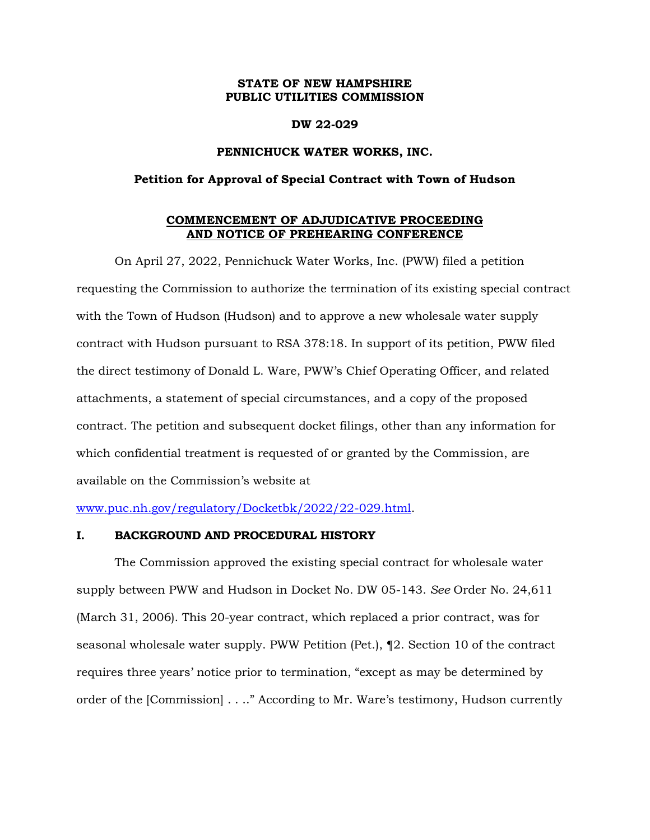# **STATE OF NEW HAMPSHIRE PUBLIC UTILITIES COMMISSION**

#### **DW 22-029**

### **PENNICHUCK WATER WORKS, INC.**

#### **Petition for Approval of Special Contract with Town of Hudson**

### **COMMENCEMENT OF ADJUDICATIVE PROCEEDING AND NOTICE OF PREHEARING CONFERENCE**

On April 27, 2022, Pennichuck Water Works, Inc. (PWW) filed a petition requesting the Commission to authorize the termination of its existing special contract with the Town of Hudson (Hudson) and to approve a new wholesale water supply contract with Hudson pursuant to RSA 378:18. In support of its petition, PWW filed the direct testimony of Donald L. Ware, PWW's Chief Operating Officer, and related attachments, a statement of special circumstances, and a copy of the proposed contract. The petition and subsequent docket filings, other than any information for which confidential treatment is requested of or granted by the Commission, are available on the Commission's website at

[www.puc.nh.gov/regulatory/Docketbk/2022/22-029.html.](http://www.puc.nh.gov/regulatory/Docketbk/2022/22-029.html)

#### **I. BACKGROUND AND PROCEDURAL HISTORY**

The Commission approved the existing special contract for wholesale water supply between PWW and Hudson in Docket No. DW 05-143. *See* Order No. 24,611 (March 31, 2006). This 20-year contract, which replaced a prior contract, was for seasonal wholesale water supply. PWW Petition (Pet.), ¶2. Section 10 of the contract requires three years' notice prior to termination, "except as may be determined by order of the [Commission] . . .." According to Mr. Ware's testimony, Hudson currently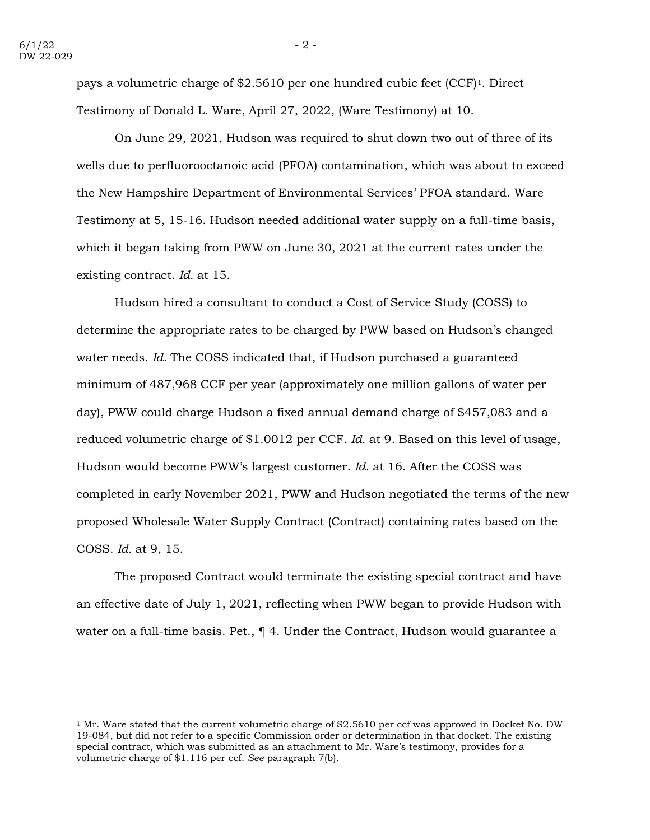pays a volumetric charge of \$2.5610 per one hundred cubic feet (CCF)1. Direct Testimony of Donald L. Ware, April 27, 2022, (Ware Testimony) at 10.

On June 29, 2021, Hudson was required to shut down two out of three of its wells due to perfluorooctanoic acid (PFOA) contamination, which was about to exceed the New Hampshire Department of Environmental Services' PFOA standard. Ware Testimony at 5, 15-16. Hudson needed additional water supply on a full-time basis, which it began taking from PWW on June 30, 2021 at the current rates under the existing contract. *Id.* at 15.

Hudson hired a consultant to conduct a Cost of Service Study (COSS) to determine the appropriate rates to be charged by PWW based on Hudson's changed water needs. *Id.* The COSS indicated that, if Hudson purchased a guaranteed minimum of 487,968 CCF per year (approximately one million gallons of water per day), PWW could charge Hudson a fixed annual demand charge of \$457,083 and a reduced volumetric charge of \$1.0012 per CCF. *Id.* at 9. Based on this level of usage, Hudson would become PWW's largest customer. *Id.* at 16. After the COSS was completed in early November 2021, PWW and Hudson negotiated the terms of the new proposed Wholesale Water Supply Contract (Contract) containing rates based on the COSS. *Id.* at 9, 15.

The proposed Contract would terminate the existing special contract and have an effective date of July 1, 2021, reflecting when PWW began to provide Hudson with water on a full-time basis. Pet.,  $\P$  4. Under the Contract, Hudson would guarantee a

<sup>&</sup>lt;sup>1</sup> Mr. Ware stated that the current volumetric charge of \$2.5610 per ccf was approved in Docket No. DW 19-084, but did not refer to a specific Commission order or determination in that docket. The existing special contract, which was submitted as an attachment to Mr. Ware's testimony, provides for a volumetric charge of \$1.116 per ccf. *See* paragraph 7(b).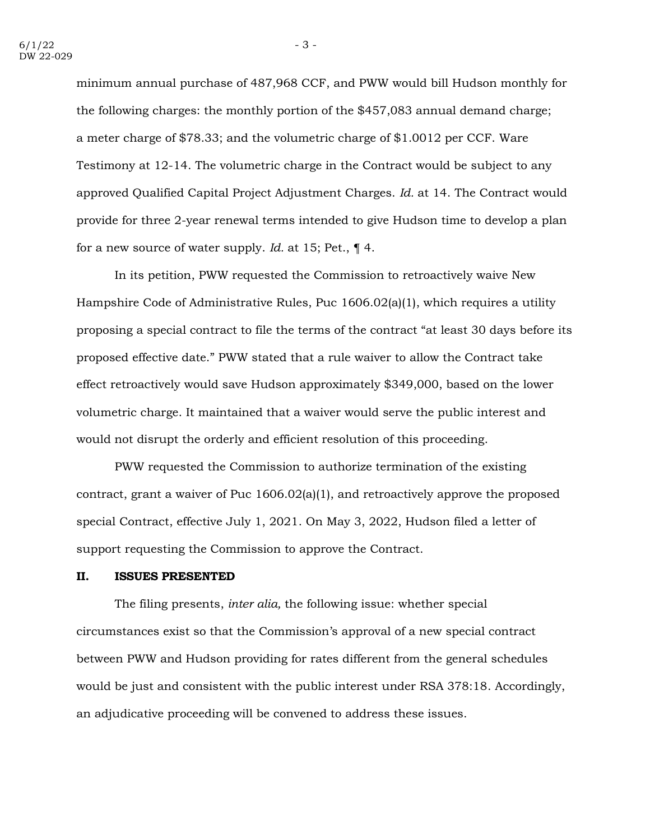minimum annual purchase of 487,968 CCF, and PWW would bill Hudson monthly for the following charges: the monthly portion of the \$457,083 annual demand charge; a meter charge of \$78.33; and the volumetric charge of \$1.0012 per CCF. Ware Testimony at 12-14. The volumetric charge in the Contract would be subject to any approved Qualified Capital Project Adjustment Charges. *Id.* at 14. The Contract would provide for three 2-year renewal terms intended to give Hudson time to develop a plan for a new source of water supply. *Id.* at 15; Pet., ¶ 4.

In its petition, PWW requested the Commission to retroactively waive New Hampshire Code of Administrative Rules, Puc 1606.02(a)(1), which requires a utility proposing a special contract to file the terms of the contract "at least 30 days before its proposed effective date." PWW stated that a rule waiver to allow the Contract take effect retroactively would save Hudson approximately \$349,000, based on the lower volumetric charge. It maintained that a waiver would serve the public interest and would not disrupt the orderly and efficient resolution of this proceeding.

PWW requested the Commission to authorize termination of the existing contract, grant a waiver of Puc  $1606.02(a)(1)$ , and retroactively approve the proposed special Contract, effective July 1, 2021. On May 3, 2022, Hudson filed a letter of support requesting the Commission to approve the Contract.

#### **II. ISSUES PRESENTED**

The filing presents, *inter alia,* the following issue: whether special circumstances exist so that the Commission's approval of a new special contract between PWW and Hudson providing for rates different from the general schedules would be just and consistent with the public interest under RSA 378:18. Accordingly, an adjudicative proceeding will be convened to address these issues.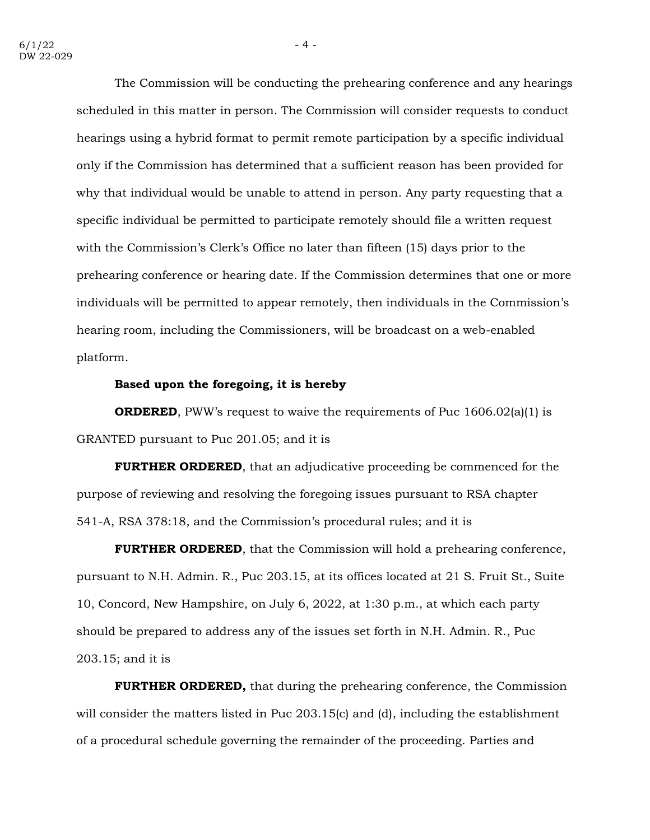The Commission will be conducting the prehearing conference and any hearings scheduled in this matter in person. The Commission will consider requests to conduct hearings using a hybrid format to permit remote participation by a specific individual only if the Commission has determined that a sufficient reason has been provided for why that individual would be unable to attend in person. Any party requesting that a specific individual be permitted to participate remotely should file a written request with the Commission's Clerk's Office no later than fifteen (15) days prior to the prehearing conference or hearing date. If the Commission determines that one or more individuals will be permitted to appear remotely, then individuals in the Commission's hearing room, including the Commissioners, will be broadcast on a web-enabled platform.

## **Based upon the foregoing, it is hereby**

**ORDERED**, PWW's request to waive the requirements of Puc 1606.02(a)(1) is GRANTED pursuant to Puc 201.05; and it is

**FURTHER ORDERED**, that an adjudicative proceeding be commenced for the purpose of reviewing and resolving the foregoing issues pursuant to RSA chapter 541-A, RSA 378:18, and the Commission's procedural rules; and it is

**FURTHER ORDERED**, that the Commission will hold a prehearing conference, pursuant to N.H. Admin. R., Puc 203.15, at its offices located at 21 S. Fruit St., Suite 10, Concord, New Hampshire, on July 6, 2022, at 1:30 p.m., at which each party should be prepared to address any of the issues set forth in N.H. Admin. R., Puc 203.15; and it is

**FURTHER ORDERED,** that during the prehearing conference, the Commission will consider the matters listed in Puc 203.15(c) and (d), including the establishment of a procedural schedule governing the remainder of the proceeding. Parties and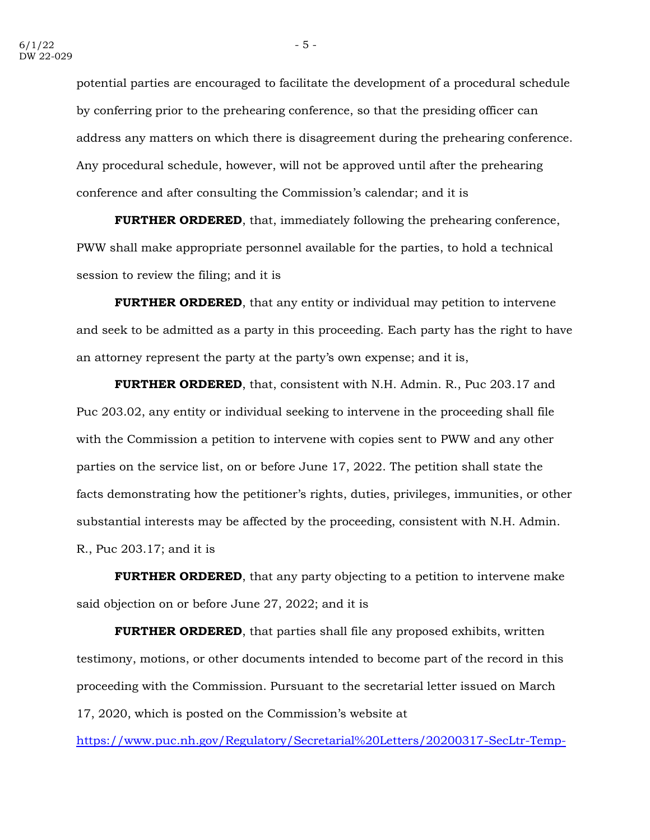potential parties are encouraged to facilitate the development of a procedural schedule by conferring prior to the prehearing conference, so that the presiding officer can address any matters on which there is disagreement during the prehearing conference. Any procedural schedule, however, will not be approved until after the prehearing conference and after consulting the Commission's calendar; and it is

**FURTHER ORDERED**, that, immediately following the prehearing conference, PWW shall make appropriate personnel available for the parties, to hold a technical session to review the filing; and it is

**FURTHER ORDERED**, that any entity or individual may petition to intervene and seek to be admitted as a party in this proceeding. Each party has the right to have an attorney represent the party at the party's own expense; and it is,

**FURTHER ORDERED**, that, consistent with N.H. Admin. R., Puc 203.17 and Puc 203.02, any entity or individual seeking to intervene in the proceeding shall file with the Commission a petition to intervene with copies sent to PWW and any other parties on the service list, on or before June 17, 2022. The petition shall state the facts demonstrating how the petitioner's rights, duties, privileges, immunities, or other substantial interests may be affected by the proceeding, consistent with N.H. Admin. R., Puc 203.17; and it is

**FURTHER ORDERED**, that any party objecting to a petition to intervene make said objection on or before June 27, 2022; and it is

**FURTHER ORDERED**, that parties shall file any proposed exhibits, written testimony, motions, or other documents intended to become part of the record in this proceeding with the Commission. Pursuant to the secretarial letter issued on March 17, 2020, which is posted on the Commission's website at

[https://www.puc.nh.gov/Regulatory/Secretarial%20Letters/20200317-SecLtr-Temp-](https://www.puc.nh.gov/Regulatory/Secretarial%20Letters/20200317-SecLtr-Temp-Changes-in-Filing-Requirements.pdf)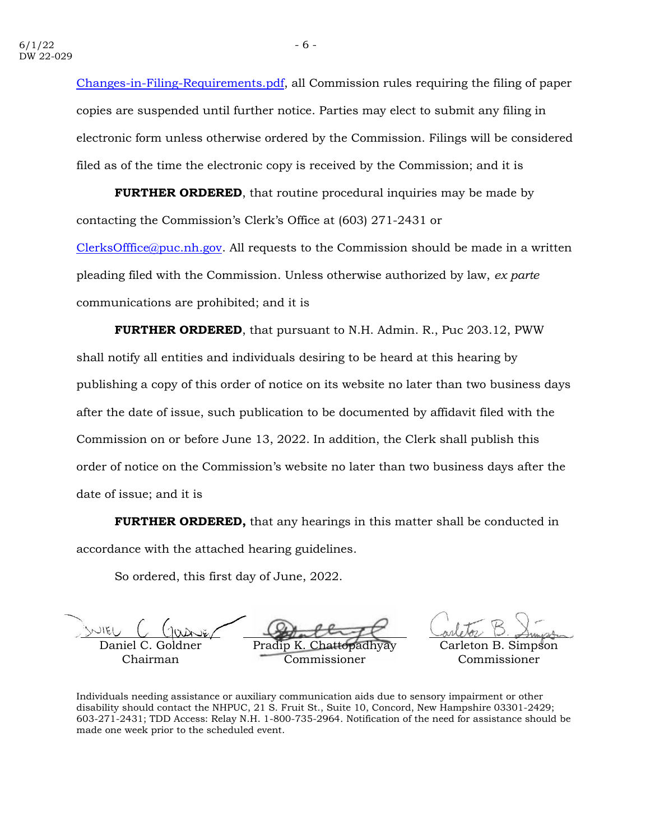[Changes-in-Filing-Requirements.pdf,](https://www.puc.nh.gov/Regulatory/Secretarial%20Letters/20200317-SecLtr-Temp-Changes-in-Filing-Requirements.pdf) all Commission rules requiring the filing of paper copies are suspended until further notice. Parties may elect to submit any filing in electronic form unless otherwise ordered by the Commission. Filings will be considered filed as of the time the electronic copy is received by the Commission; and it is

**FURTHER ORDERED**, that routine procedural inquiries may be made by contacting the Commission's Clerk's Office at (603) 271-2431 or [ClerksOfffice@puc.nh.gov.](mailto:ClerksOfffice@puc.nh.gov) All requests to the Commission should be made in a written pleading filed with the Commission. Unless otherwise authorized by law, *ex parte* communications are prohibited; and it is

**FURTHER ORDERED**, that pursuant to N.H. Admin. R., Puc 203.12, PWW shall notify all entities and individuals desiring to be heard at this hearing by publishing a copy of this order of notice on its website no later than two business days after the date of issue, such publication to be documented by affidavit filed with the Commission on or before June 13, 2022. In addition, the Clerk shall publish this order of notice on the Commission's website no later than two business days after the date of issue; and it is

**FURTHER ORDERED,** that any hearings in this matter shall be conducted in accordance with the attached hearing guidelines.

So ordered, this first day of June, 2022.

Daniel C. Goldner Chairman

Pradip K

Carleton B. Simpson Commissioner

Commissioner

Individuals needing assistance or auxiliary communication aids due to sensory impairment or other disability should contact the NHPUC, 21 S. Fruit St., Suite 10, Concord, New Hampshire 03301-2429; 603-271-2431; TDD Access: Relay N.H. 1-800-735-2964. Notification of the need for assistance should be made one week prior to the scheduled event.